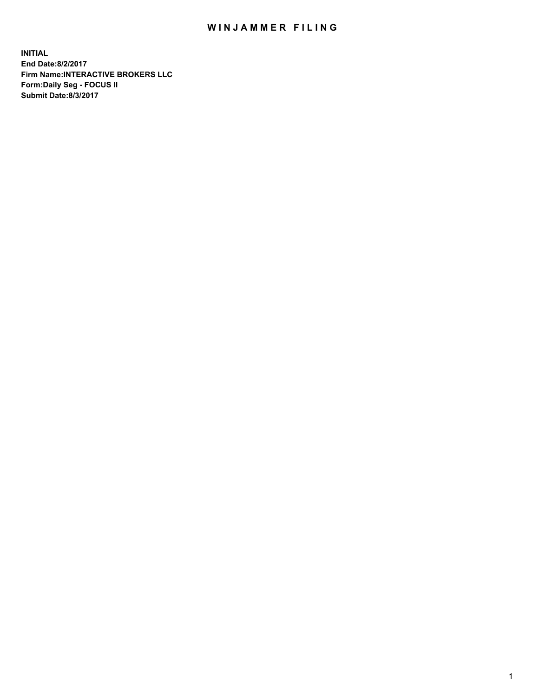## WIN JAMMER FILING

**INITIAL End Date:8/2/2017 Firm Name:INTERACTIVE BROKERS LLC Form:Daily Seg - FOCUS II Submit Date:8/3/2017**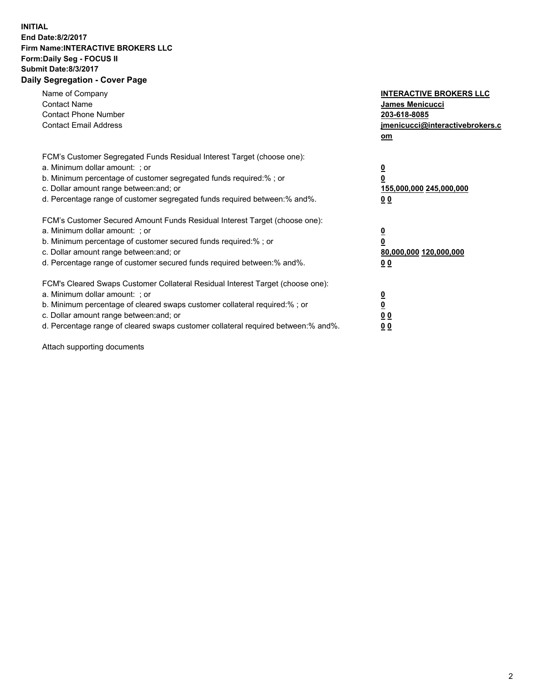## **INITIAL End Date:8/2/2017 Firm Name:INTERACTIVE BROKERS LLC Form:Daily Seg - FOCUS II Submit Date:8/3/2017 Daily Segregation - Cover Page**

| Name of Company<br><b>Contact Name</b><br><b>Contact Phone Number</b><br><b>Contact Email Address</b>                                                                                                                                                                                                                          | <b>INTERACTIVE BROKERS LLC</b><br>James Menicucci<br>203-618-8085<br>jmenicucci@interactivebrokers.c<br>om |
|--------------------------------------------------------------------------------------------------------------------------------------------------------------------------------------------------------------------------------------------------------------------------------------------------------------------------------|------------------------------------------------------------------------------------------------------------|
| FCM's Customer Segregated Funds Residual Interest Target (choose one):<br>a. Minimum dollar amount: ; or<br>b. Minimum percentage of customer segregated funds required:% ; or<br>c. Dollar amount range between: and; or<br>d. Percentage range of customer segregated funds required between:% and%.                         | $\overline{\mathbf{0}}$<br>0<br>155,000,000 245,000,000<br>0 <sub>0</sub>                                  |
| FCM's Customer Secured Amount Funds Residual Interest Target (choose one):<br>a. Minimum dollar amount: ; or<br>b. Minimum percentage of customer secured funds required:%; or<br>c. Dollar amount range between: and; or<br>d. Percentage range of customer secured funds required between: % and %.                          | $\overline{\mathbf{0}}$<br>0<br>80,000,000 120,000,000<br>0 <sub>0</sub>                                   |
| FCM's Cleared Swaps Customer Collateral Residual Interest Target (choose one):<br>a. Minimum dollar amount: ; or<br>b. Minimum percentage of cleared swaps customer collateral required:% ; or<br>c. Dollar amount range between: and; or<br>d. Percentage range of cleared swaps customer collateral required between:% and%. | $\overline{\mathbf{0}}$<br>$\overline{\mathbf{0}}$<br>0 <sub>0</sub><br>0 <sub>0</sub>                     |

Attach supporting documents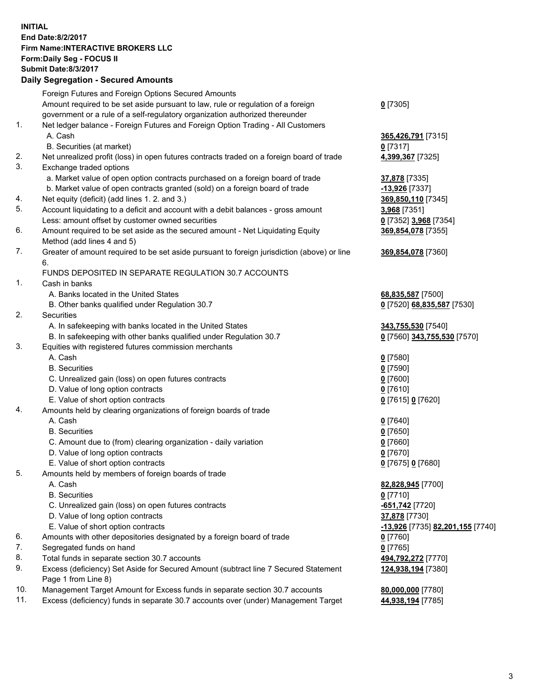## **INITIAL End Date:8/2/2017 Firm Name:INTERACTIVE BROKERS LLC Form:Daily Seg - FOCUS II Submit Date:8/3/2017 Daily Segregation - Secured Amounts**

|     | Foreign Futures and Foreign Options Secured Amounts                                         |                                  |
|-----|---------------------------------------------------------------------------------------------|----------------------------------|
|     | Amount required to be set aside pursuant to law, rule or regulation of a foreign            | $0$ [7305]                       |
|     | government or a rule of a self-regulatory organization authorized thereunder                |                                  |
| 1.  | Net ledger balance - Foreign Futures and Foreign Option Trading - All Customers             |                                  |
|     | A. Cash                                                                                     | 365,426,791 [7315]               |
|     | B. Securities (at market)                                                                   | $0$ [7317]                       |
| 2.  | Net unrealized profit (loss) in open futures contracts traded on a foreign board of trade   | 4,399,367 [7325]                 |
| 3.  | Exchange traded options                                                                     |                                  |
|     | a. Market value of open option contracts purchased on a foreign board of trade              | 37,878 [7335]                    |
|     | b. Market value of open contracts granted (sold) on a foreign board of trade                | -13,926 [7337]                   |
| 4.  | Net equity (deficit) (add lines 1.2. and 3.)                                                | 369,850,110 [7345]               |
| 5.  | Account liquidating to a deficit and account with a debit balances - gross amount           | 3,968 [7351]                     |
|     | Less: amount offset by customer owned securities                                            | 0 [7352] 3,968 [7354]            |
| 6.  | Amount required to be set aside as the secured amount - Net Liquidating Equity              | 369,854,078 [7355]               |
|     | Method (add lines 4 and 5)                                                                  |                                  |
| 7.  | Greater of amount required to be set aside pursuant to foreign jurisdiction (above) or line | 369,854,078 [7360]               |
|     | 6.                                                                                          |                                  |
|     | FUNDS DEPOSITED IN SEPARATE REGULATION 30.7 ACCOUNTS                                        |                                  |
| 1.  | Cash in banks                                                                               |                                  |
|     | A. Banks located in the United States                                                       | 68,835,587 [7500]                |
|     | B. Other banks qualified under Regulation 30.7                                              | 0 [7520] 68,835,587 [7530]       |
| 2.  | Securities                                                                                  |                                  |
|     | A. In safekeeping with banks located in the United States                                   | 343,755,530 [7540]               |
|     | B. In safekeeping with other banks qualified under Regulation 30.7                          | 0 [7560] 343,755,530 [7570]      |
| 3.  | Equities with registered futures commission merchants                                       |                                  |
|     | A. Cash                                                                                     | $0$ [7580]                       |
|     | <b>B.</b> Securities                                                                        | $0$ [7590]                       |
|     | C. Unrealized gain (loss) on open futures contracts                                         | $0$ [7600]                       |
|     | D. Value of long option contracts                                                           | $0$ [7610]                       |
|     | E. Value of short option contracts                                                          | 0 [7615] 0 [7620]                |
| 4.  | Amounts held by clearing organizations of foreign boards of trade                           |                                  |
|     | A. Cash                                                                                     | $0$ [7640]                       |
|     | <b>B.</b> Securities                                                                        | $0$ [7650]                       |
|     | C. Amount due to (from) clearing organization - daily variation                             | $0$ [7660]                       |
|     | D. Value of long option contracts                                                           | $0$ [7670]                       |
|     | E. Value of short option contracts                                                          | 0 [7675] 0 [7680]                |
| 5.  | Amounts held by members of foreign boards of trade                                          |                                  |
|     | A. Cash                                                                                     | 82,828,945 [7700]                |
|     | <b>B.</b> Securities                                                                        | $0$ [7710]                       |
|     | C. Unrealized gain (loss) on open futures contracts                                         | -651,742 <sup>[7720]</sup>       |
|     | D. Value of long option contracts                                                           | 37,878 [7730]                    |
|     | E. Value of short option contracts                                                          | -13,926 [7735] 82,201,155 [7740] |
| 6.  | Amounts with other depositories designated by a foreign board of trade                      | $0$ [7760]                       |
| 7.  | Segregated funds on hand                                                                    | $0$ [7765]                       |
| 8.  | Total funds in separate section 30.7 accounts                                               | 494,792,272 [7770]               |
| 9.  | Excess (deficiency) Set Aside for Secured Amount (subtract line 7 Secured Statement         | 124,938,194 [7380]               |
|     | Page 1 from Line 8)                                                                         |                                  |
| 10. | Management Target Amount for Excess funds in separate section 30.7 accounts                 | 80,000,000 [7780]                |
| 11. | Excess (deficiency) funds in separate 30.7 accounts over (under) Management Target          | 44,938,194 [7785]                |
|     |                                                                                             |                                  |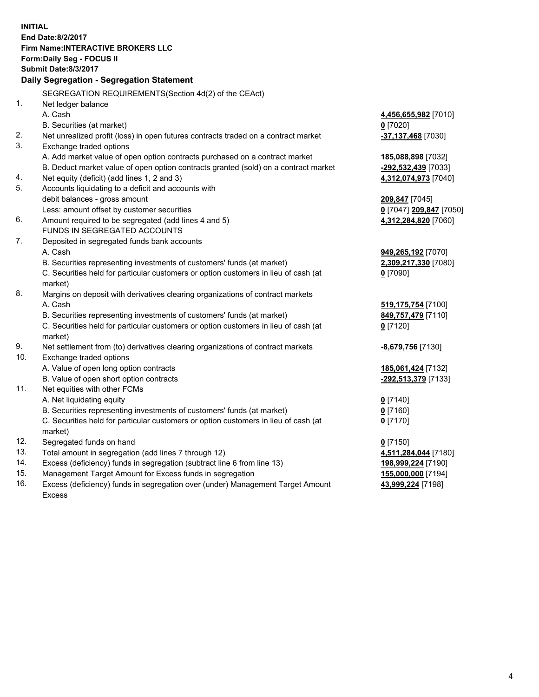**INITIAL End Date:8/2/2017 Firm Name:INTERACTIVE BROKERS LLC Form:Daily Seg - FOCUS II Submit Date:8/3/2017 Daily Segregation - Segregation Statement** SEGREGATION REQUIREMENTS(Section 4d(2) of the CEAct) 1. Net ledger balance A. Cash **4,456,655,982** [7010] B. Securities (at market) **0** [7020] 2. Net unrealized profit (loss) in open futures contracts traded on a contract market **-37,137,468** [7030] 3. Exchange traded options A. Add market value of open option contracts purchased on a contract market **185,088,898** [7032] B. Deduct market value of open option contracts granted (sold) on a contract market **-292,532,439** [7033] 4. Net equity (deficit) (add lines 1, 2 and 3) **4,312,074,973** [7040] 5. Accounts liquidating to a deficit and accounts with debit balances - gross amount **209,847** [7045] Less: amount offset by customer securities **0** [7047] **209,847** [7050] 6. Amount required to be segregated (add lines 4 and 5) **4,312,284,820** [7060] FUNDS IN SEGREGATED ACCOUNTS 7. Deposited in segregated funds bank accounts A. Cash **949,265,192** [7070] B. Securities representing investments of customers' funds (at market) **2,309,217,330** [7080] C. Securities held for particular customers or option customers in lieu of cash (at market) **0** [7090] 8. Margins on deposit with derivatives clearing organizations of contract markets A. Cash **519,175,754** [7100] B. Securities representing investments of customers' funds (at market) **849,757,479** [7110] C. Securities held for particular customers or option customers in lieu of cash (at market) **0** [7120] 9. Net settlement from (to) derivatives clearing organizations of contract markets **-8,679,756** [7130] 10. Exchange traded options A. Value of open long option contracts **185,061,424** [7132] B. Value of open short option contracts **-292,513,379** [7133] 11. Net equities with other FCMs A. Net liquidating equity **0** [7140] B. Securities representing investments of customers' funds (at market) **0** [7160] C. Securities held for particular customers or option customers in lieu of cash (at market) **0** [7170] 12. Segregated funds on hand **0** [7150] 13. Total amount in segregation (add lines 7 through 12) **4,511,284,044** [7180] 14. Excess (deficiency) funds in segregation (subtract line 6 from line 13) **198,999,224** [7190] 15. Management Target Amount for Excess funds in segregation **155,000,000** [7194] 16. Excess (deficiency) funds in segregation over (under) Management Target Amount **43,999,224** [7198]

Excess